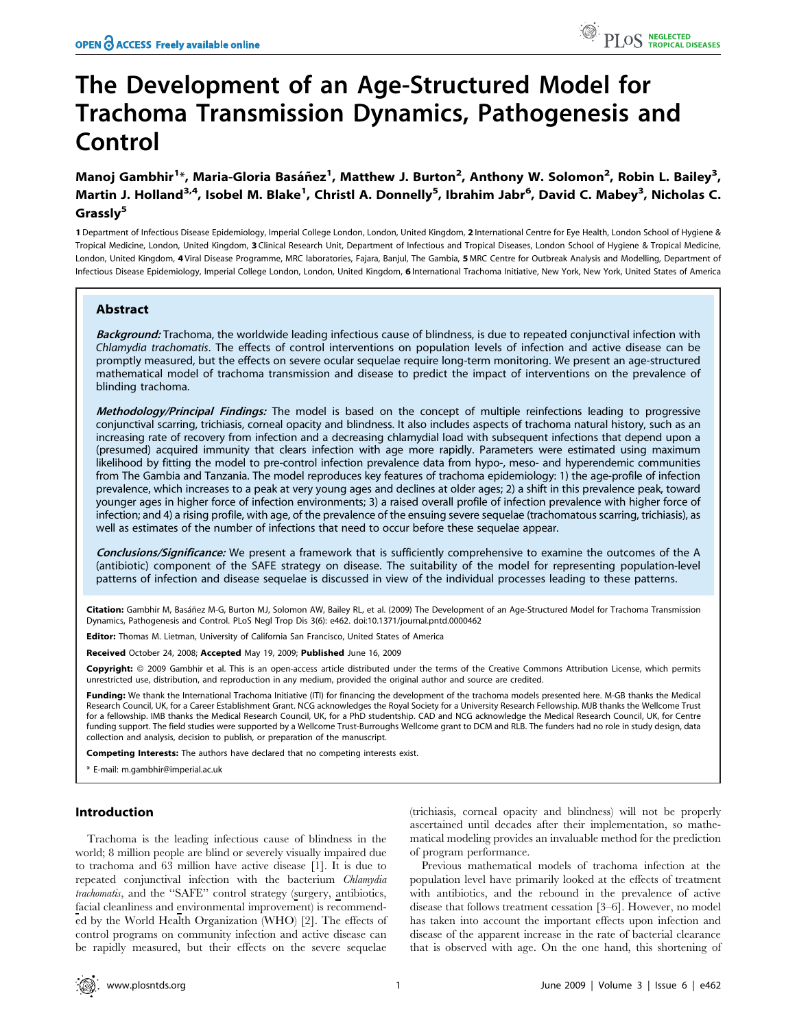# The Development of an Age-Structured Model for Trachoma Transmission Dynamics, Pathogenesis and Control

Manoj Gambhir<sup>1</sup>\*, Maria-Gloria Basáñez<sup>1</sup>, Matthew J. Burton<sup>2</sup>, Anthony W. Solomon<sup>2</sup>, Robin L. Bailey<sup>3</sup>, Martin J. Holland<sup>3,4</sup>, Isobel M. Blake<sup>1</sup>, Christl A. Donnelly<sup>5</sup>, Ibrahim Jabr<sup>6</sup>, David C. Mabey<sup>3</sup>, Nicholas C. Grassly<sup>5</sup>

1 Department of Infectious Disease Epidemiology, Imperial College London, London, United Kingdom, 2 International Centre for Eye Health, London School of Hygiene & Tropical Medicine, London, United Kingdom, 3 Clinical Research Unit, Department of Infectious and Tropical Diseases, London School of Hygiene & Tropical Medicine, London, United Kingdom, 4 Viral Disease Programme, MRC laboratories, Fajara, Banjul, The Gambia, 5 MRC Centre for Outbreak Analysis and Modelling, Department of Infectious Disease Epidemiology, Imperial College London, London, United Kingdom, 6 International Trachoma Initiative, New York, New York, United States of America

# Abstract

Background: Trachoma, the worldwide leading infectious cause of blindness, is due to repeated conjunctival infection with Chlamydia trachomatis. The effects of control interventions on population levels of infection and active disease can be promptly measured, but the effects on severe ocular sequelae require long-term monitoring. We present an age-structured mathematical model of trachoma transmission and disease to predict the impact of interventions on the prevalence of blinding trachoma.

Methodology/Principal Findings: The model is based on the concept of multiple reinfections leading to progressive conjunctival scarring, trichiasis, corneal opacity and blindness. It also includes aspects of trachoma natural history, such as an increasing rate of recovery from infection and a decreasing chlamydial load with subsequent infections that depend upon a (presumed) acquired immunity that clears infection with age more rapidly. Parameters were estimated using maximum likelihood by fitting the model to pre-control infection prevalence data from hypo-, meso- and hyperendemic communities from The Gambia and Tanzania. The model reproduces key features of trachoma epidemiology: 1) the age-profile of infection prevalence, which increases to a peak at very young ages and declines at older ages; 2) a shift in this prevalence peak, toward younger ages in higher force of infection environments; 3) a raised overall profile of infection prevalence with higher force of infection; and 4) a rising profile, with age, of the prevalence of the ensuing severe sequelae (trachomatous scarring, trichiasis), as well as estimates of the number of infections that need to occur before these sequelae appear.

Conclusions/Significance: We present a framework that is sufficiently comprehensive to examine the outcomes of the A (antibiotic) component of the SAFE strategy on disease. The suitability of the model for representing population-level patterns of infection and disease sequelae is discussed in view of the individual processes leading to these patterns.

Citation: Gambhir M, Basáñez M-G, Burton MJ, Solomon AW, Bailey RL, et al. (2009) The Development of an Age-Structured Model for Trachoma Transmission Dynamics, Pathogenesis and Control. PLoS Negl Trop Dis 3(6): e462. doi:10.1371/journal.pntd.0000462

Editor: Thomas M. Lietman, University of California San Francisco, United States of America

Received October 24, 2008; Accepted May 19, 2009; Published June 16, 2009

Copyright: @ 2009 Gambhir et al. This is an open-access article distributed under the terms of the Creative Commons Attribution License, which permits unrestricted use, distribution, and reproduction in any medium, provided the original author and source are credited.

Funding: We thank the International Trachoma Initiative (ITI) for financing the development of the trachoma models presented here. M-GB thanks the Medical Research Council, UK, for a Career Establishment Grant. NCG acknowledges the Royal Society for a University Research Fellowship. MJB thanks the Wellcome Trust for a fellowship. IMB thanks the Medical Research Council, UK, for a PhD studentship. CAD and NCG acknowledge the Medical Research Council, UK, for Centre funding support. The field studies were supported by a Wellcome Trust-Burroughs Wellcome grant to DCM and RLB. The funders had no role in study design, data collection and analysis, decision to publish, or preparation of the manuscript.

Competing Interests: The authors have declared that no competing interests exist.

\* E-mail: m.gambhir@imperial.ac.uk

## Introduction

Trachoma is the leading infectious cause of blindness in the world; 8 million people are blind or severely visually impaired due to trachoma and 63 million have active disease [1]. It is due to repeated conjunctival infection with the bacterium Chlamydia trachomatis, and the "SAFE" control strategy (surgery, antibiotics, facial cleanliness and environmental improvement) is recommended by the World Health Organization (WHO) [2]. The effects of control programs on community infection and active disease can be rapidly measured, but their effects on the severe sequelae

(trichiasis, corneal opacity and blindness) will not be properly ascertained until decades after their implementation, so mathematical modeling provides an invaluable method for the prediction of program performance.

Previous mathematical models of trachoma infection at the population level have primarily looked at the effects of treatment with antibiotics, and the rebound in the prevalence of active disease that follows treatment cessation [3–6]. However, no model has taken into account the important effects upon infection and disease of the apparent increase in the rate of bacterial clearance that is observed with age. On the one hand, this shortening of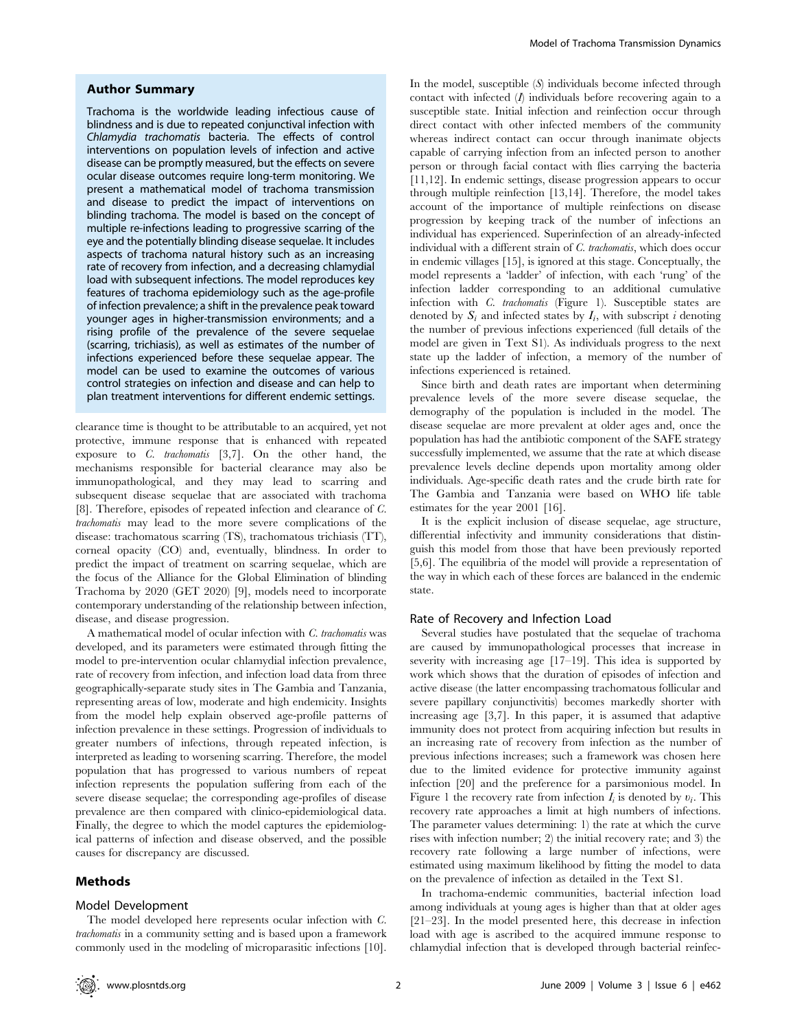## Author Summary

Trachoma is the worldwide leading infectious cause of blindness and is due to repeated conjunctival infection with Chlamydia trachomatis bacteria. The effects of control interventions on population levels of infection and active disease can be promptly measured, but the effects on severe ocular disease outcomes require long-term monitoring. We present a mathematical model of trachoma transmission and disease to predict the impact of interventions on blinding trachoma. The model is based on the concept of multiple re-infections leading to progressive scarring of the eye and the potentially blinding disease sequelae. It includes aspects of trachoma natural history such as an increasing rate of recovery from infection, and a decreasing chlamydial load with subsequent infections. The model reproduces key features of trachoma epidemiology such as the age-profile of infection prevalence; a shift in the prevalence peak toward younger ages in higher-transmission environments; and a rising profile of the prevalence of the severe sequelae (scarring, trichiasis), as well as estimates of the number of infections experienced before these sequelae appear. The model can be used to examine the outcomes of various control strategies on infection and disease and can help to plan treatment interventions for different endemic settings.

clearance time is thought to be attributable to an acquired, yet not protective, immune response that is enhanced with repeated exposure to C. trachomatis [3,7]. On the other hand, the mechanisms responsible for bacterial clearance may also be immunopathological, and they may lead to scarring and subsequent disease sequelae that are associated with trachoma [8]. Therefore, episodes of repeated infection and clearance of C. trachomatis may lead to the more severe complications of the disease: trachomatous scarring (TS), trachomatous trichiasis (TT), corneal opacity (CO) and, eventually, blindness. In order to predict the impact of treatment on scarring sequelae, which are the focus of the Alliance for the Global Elimination of blinding Trachoma by 2020 (GET 2020) [9], models need to incorporate contemporary understanding of the relationship between infection, disease, and disease progression.

A mathematical model of ocular infection with C. trachomatis was developed, and its parameters were estimated through fitting the model to pre-intervention ocular chlamydial infection prevalence, rate of recovery from infection, and infection load data from three geographically-separate study sites in The Gambia and Tanzania, representing areas of low, moderate and high endemicity. Insights from the model help explain observed age-profile patterns of infection prevalence in these settings. Progression of individuals to greater numbers of infections, through repeated infection, is interpreted as leading to worsening scarring. Therefore, the model population that has progressed to various numbers of repeat infection represents the population suffering from each of the severe disease sequelae; the corresponding age-profiles of disease prevalence are then compared with clinico-epidemiological data. Finally, the degree to which the model captures the epidemiological patterns of infection and disease observed, and the possible causes for discrepancy are discussed.

## Methods

### Model Development

The model developed here represents ocular infection with C. trachomatis in a community setting and is based upon a framework commonly used in the modeling of microparasitic infections [10]. In the model, susceptible (S) individuals become infected through contact with infected  $(I)$  individuals before recovering again to a susceptible state. Initial infection and reinfection occur through direct contact with other infected members of the community whereas indirect contact can occur through inanimate objects capable of carrying infection from an infected person to another person or through facial contact with flies carrying the bacteria [11,12]. In endemic settings, disease progression appears to occur through multiple reinfection [13,14]. Therefore, the model takes account of the importance of multiple reinfections on disease progression by keeping track of the number of infections an individual has experienced. Superinfection of an already-infected individual with a different strain of C. trachomatis, which does occur in endemic villages [15], is ignored at this stage. Conceptually, the model represents a 'ladder' of infection, with each 'rung' of the infection ladder corresponding to an additional cumulative infection with C. trachomatis (Figure 1). Susceptible states are denoted by  $S_i$  and infected states by  $I_i$ , with subscript i denoting the number of previous infections experienced (full details of the model are given in Text S1). As individuals progress to the next state up the ladder of infection, a memory of the number of infections experienced is retained.

Since birth and death rates are important when determining prevalence levels of the more severe disease sequelae, the demography of the population is included in the model. The disease sequelae are more prevalent at older ages and, once the population has had the antibiotic component of the SAFE strategy successfully implemented, we assume that the rate at which disease prevalence levels decline depends upon mortality among older individuals. Age-specific death rates and the crude birth rate for The Gambia and Tanzania were based on WHO life table estimates for the year 2001 [16].

It is the explicit inclusion of disease sequelae, age structure, differential infectivity and immunity considerations that distinguish this model from those that have been previously reported [5,6]. The equilibria of the model will provide a representation of the way in which each of these forces are balanced in the endemic state.

#### Rate of Recovery and Infection Load

Several studies have postulated that the sequelae of trachoma are caused by immunopathological processes that increase in severity with increasing age [17–19]. This idea is supported by work which shows that the duration of episodes of infection and active disease (the latter encompassing trachomatous follicular and severe papillary conjunctivitis) becomes markedly shorter with increasing age [3,7]. In this paper, it is assumed that adaptive immunity does not protect from acquiring infection but results in an increasing rate of recovery from infection as the number of previous infections increases; such a framework was chosen here due to the limited evidence for protective immunity against infection [20] and the preference for a parsimonious model. In Figure 1 the recovery rate from infection  $I_i$  is denoted by  $v_i$ . This recovery rate approaches a limit at high numbers of infections. The parameter values determining: 1) the rate at which the curve rises with infection number; 2) the initial recovery rate; and 3) the recovery rate following a large number of infections, were estimated using maximum likelihood by fitting the model to data on the prevalence of infection as detailed in the Text S1.

In trachoma-endemic communities, bacterial infection load among individuals at young ages is higher than that at older ages [21–23]. In the model presented here, this decrease in infection load with age is ascribed to the acquired immune response to chlamydial infection that is developed through bacterial reinfec-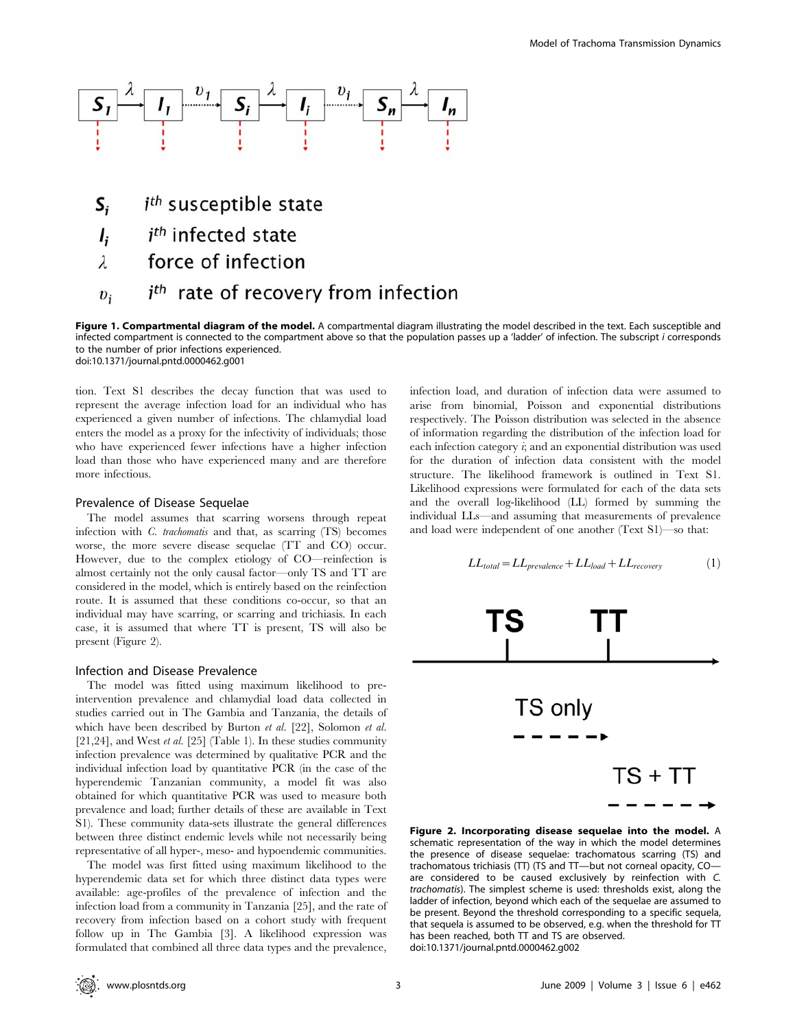

- *i<sup>th</sup>* susceptible state  $S_i$
- *i<sup>th</sup>* infected state  $\mathbf{l}$
- force of infection  $\lambda$
- *i<sup>th</sup>* rate of recovery from infection  $v_i$

Figure 1. Compartmental diagram of the model. A compartmental diagram illustrating the model described in the text. Each susceptible and infected compartment is connected to the compartment above so that the population passes up a 'ladder' of infection. The subscript i corresponds to the number of prior infections experienced. doi:10.1371/journal.pntd.0000462.g001

tion. Text S1 describes the decay function that was used to represent the average infection load for an individual who has experienced a given number of infections. The chlamydial load enters the model as a proxy for the infectivity of individuals; those who have experienced fewer infections have a higher infection load than those who have experienced many and are therefore more infectious.

## Prevalence of Disease Sequelae

The model assumes that scarring worsens through repeat infection with C. trachomatis and that, as scarring (TS) becomes worse, the more severe disease sequelae (TT and CO) occur. However, due to the complex etiology of CO—reinfection is almost certainly not the only causal factor—only TS and TT are considered in the model, which is entirely based on the reinfection route. It is assumed that these conditions co-occur, so that an individual may have scarring, or scarring and trichiasis. In each case, it is assumed that where TT is present, TS will also be present (Figure 2).

### Infection and Disease Prevalence

The model was fitted using maximum likelihood to preintervention prevalence and chlamydial load data collected in studies carried out in The Gambia and Tanzania, the details of which have been described by Burton et al. [22], Solomon et al. [21,24], and West *et al.* [25] (Table 1). In these studies community infection prevalence was determined by qualitative PCR and the individual infection load by quantitative PCR (in the case of the hyperendemic Tanzanian community, a model fit was also obtained for which quantitative PCR was used to measure both prevalence and load; further details of these are available in Text S1). These community data-sets illustrate the general differences between three distinct endemic levels while not necessarily being representative of all hyper-, meso- and hypoendemic communities.

The model was first fitted using maximum likelihood to the hyperendemic data set for which three distinct data types were available: age-profiles of the prevalence of infection and the infection load from a community in Tanzania [25], and the rate of recovery from infection based on a cohort study with frequent follow up in The Gambia [3]. A likelihood expression was formulated that combined all three data types and the prevalence,

infection load, and duration of infection data were assumed to arise from binomial, Poisson and exponential distributions respectively. The Poisson distribution was selected in the absence of information regarding the distribution of the infection load for each infection category *i*; and an exponential distribution was used for the duration of infection data consistent with the model structure. The likelihood framework is outlined in Text S1. Likelihood expressions were formulated for each of the data sets and the overall log-likelihood (LL) formed by summing the individual LLs—and assuming that measurements of prevalence and load were independent of one another (Text S1)—so that:

$$
LL_{total} = LL_{prevalence} + LL_{load} + LL_{recovery}
$$
 (1)



Figure 2. Incorporating disease sequelae into the model. A schematic representation of the way in which the model determines the presence of disease sequelae: trachomatous scarring (TS) and trachomatous trichiasis (TT) (TS and TT—but not corneal opacity, CO are considered to be caused exclusively by reinfection with C. trachomatis). The simplest scheme is used: thresholds exist, along the ladder of infection, beyond which each of the sequelae are assumed to be present. Beyond the threshold corresponding to a specific sequela, that sequela is assumed to be observed, e.g. when the threshold for TT has been reached, both TT and TS are observed. doi:10.1371/journal.pntd.0000462.g002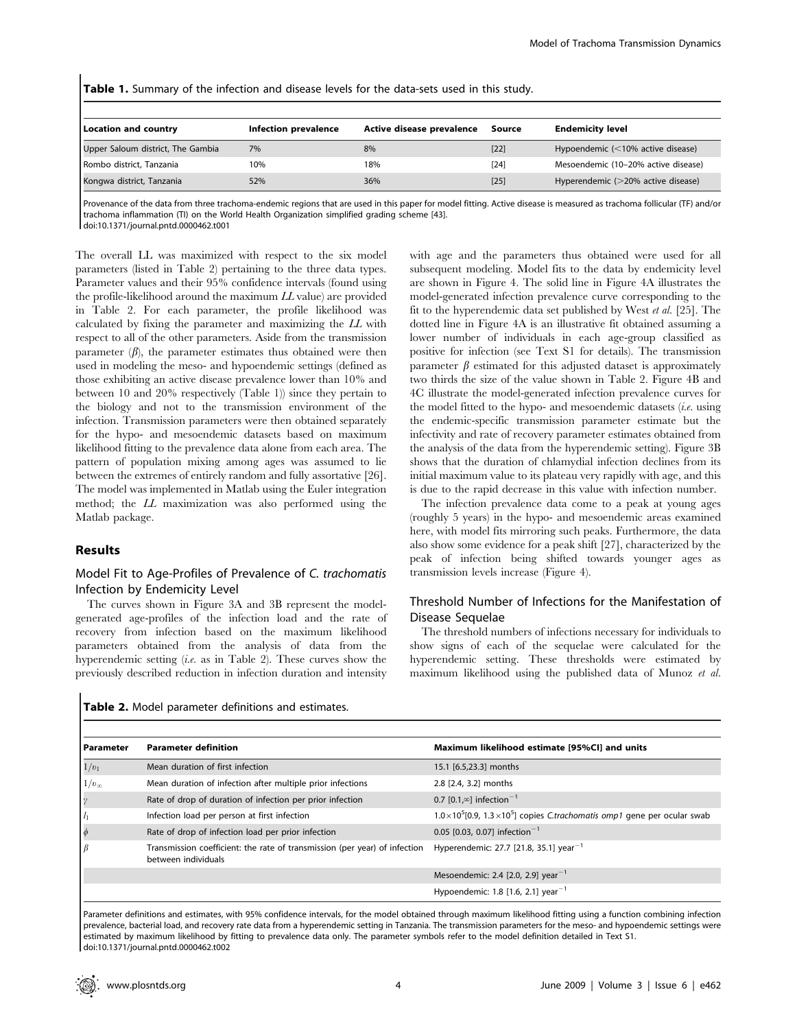| <b>Location and country</b>       | Infection prevalence | Active disease prevalence | Source | <b>Endemicity level</b>                    |
|-----------------------------------|----------------------|---------------------------|--------|--------------------------------------------|
| Upper Saloum district, The Gambia | 7%                   | 8%                        | $[22]$ | Hypoendemic $\left($ < 10% active disease) |
| Rombo district, Tanzania          | 10%                  | 18%                       | $[24]$ | Mesoendemic (10-20% active disease)        |
| Kongwa district, Tanzania         | 52%                  | 36%                       | $[25]$ | Hyperendemic (>20% active disease)         |

Table 1. Summary of the infection and disease levels for the data-sets used in this study.

Provenance of the data from three trachoma-endemic regions that are used in this paper for model fitting. Active disease is measured as trachoma follicular (TF) and/or trachoma inflammation (TI) on the World Health Organization simplified grading scheme [43]. doi:10.1371/journal.pntd.0000462.t001

The overall LL was maximized with respect to the six model parameters (listed in Table 2) pertaining to the three data types. Parameter values and their 95% confidence intervals (found using the profile-likelihood around the maximum  $LL$  value) are provided in Table 2. For each parameter, the profile likelihood was calculated by fixing the parameter and maximizing the LL with respect to all of the other parameters. Aside from the transmission parameter  $(\beta)$ , the parameter estimates thus obtained were then used in modeling the meso- and hypoendemic settings (defined as those exhibiting an active disease prevalence lower than 10% and between 10 and 20% respectively (Table 1)) since they pertain to the biology and not to the transmission environment of the infection. Transmission parameters were then obtained separately for the hypo- and mesoendemic datasets based on maximum likelihood fitting to the prevalence data alone from each area. The pattern of population mixing among ages was assumed to lie between the extremes of entirely random and fully assortative [26]. The model was implemented in Matlab using the Euler integration method; the LL maximization was also performed using the Matlab package.

## Results

# Model Fit to Age-Profiles of Prevalence of C. trachomatis Infection by Endemicity Level

The curves shown in Figure 3A and 3B represent the modelgenerated age-profiles of the infection load and the rate of recovery from infection based on the maximum likelihood parameters obtained from the analysis of data from the hyperendemic setting (i.e. as in Table 2). These curves show the previously described reduction in infection duration and intensity

with age and the parameters thus obtained were used for all subsequent modeling. Model fits to the data by endemicity level are shown in Figure 4. The solid line in Figure 4A illustrates the model-generated infection prevalence curve corresponding to the fit to the hyperendemic data set published by West et al. [25]. The dotted line in Figure 4A is an illustrative fit obtained assuming a lower number of individuals in each age-group classified as positive for infection (see Text S1 for details). The transmission parameter  $\beta$  estimated for this adjusted dataset is approximately two thirds the size of the value shown in Table 2. Figure 4B and 4C illustrate the model-generated infection prevalence curves for the model fitted to the hypo- and mesoendemic datasets  $(i.e.$  using the endemic-specific transmission parameter estimate but the infectivity and rate of recovery parameter estimates obtained from the analysis of the data from the hyperendemic setting). Figure 3B shows that the duration of chlamydial infection declines from its initial maximum value to its plateau very rapidly with age, and this is due to the rapid decrease in this value with infection number.

The infection prevalence data come to a peak at young ages (roughly 5 years) in the hypo- and mesoendemic areas examined here, with model fits mirroring such peaks. Furthermore, the data also show some evidence for a peak shift [27], characterized by the peak of infection being shifted towards younger ages as transmission levels increase (Figure 4).

# Threshold Number of Infections for the Manifestation of Disease Sequelae

The threshold numbers of infections necessary for individuals to show signs of each of the sequelae were calculated for the hyperendemic setting. These thresholds were estimated by maximum likelihood using the published data of Munoz et al.

Table 2. Model parameter definitions and estimates.

| l Parameter    | <b>Parameter definition</b>                                                                       | Maximum likelihood estimate [95%CI] and units                                                |
|----------------|---------------------------------------------------------------------------------------------------|----------------------------------------------------------------------------------------------|
| $1/v_1$        | Mean duration of first infection                                                                  | 15.1 [6.5,23.3] months                                                                       |
| $1/v_{\infty}$ | Mean duration of infection after multiple prior infections                                        | 2.8 [2.4, 3.2] months                                                                        |
| $\gamma$       | Rate of drop of duration of infection per prior infection                                         | 0.7 $[0.1, \infty]$ infection <sup>-1</sup>                                                  |
| $\vert l_1$    | Infection load per person at first infection                                                      | $1.0 \times 10^5$ [0.9, 1.3×10 <sup>5</sup> ] copies C.trachomatis omp1 gene per ocular swab |
| $\phi$         | Rate of drop of infection load per prior infection                                                | 0.05 [0.03, 0.07] infection <sup>-1</sup>                                                    |
| $\mathsf{B}$   | Transmission coefficient: the rate of transmission (per year) of infection<br>between individuals | Hyperendemic: 27.7 [21.8, 35.1] year <sup>-1</sup>                                           |
|                |                                                                                                   | Mesoendemic: 2.4 [2.0, 2.9] year <sup>-1</sup>                                               |
|                |                                                                                                   | Hypoendemic: 1.8 [1.6, 2.1] year <sup>-1</sup>                                               |

Parameter definitions and estimates, with 95% confidence intervals, for the model obtained through maximum likelihood fitting using a function combining infection prevalence, bacterial load, and recovery rate data from a hyperendemic setting in Tanzania. The transmission parameters for the meso- and hypoendemic settings were estimated by maximum likelihood by fitting to prevalence data only. The parameter symbols refer to the model definition detailed in Text S1. doi:10.1371/journal.pntd.0000462.t002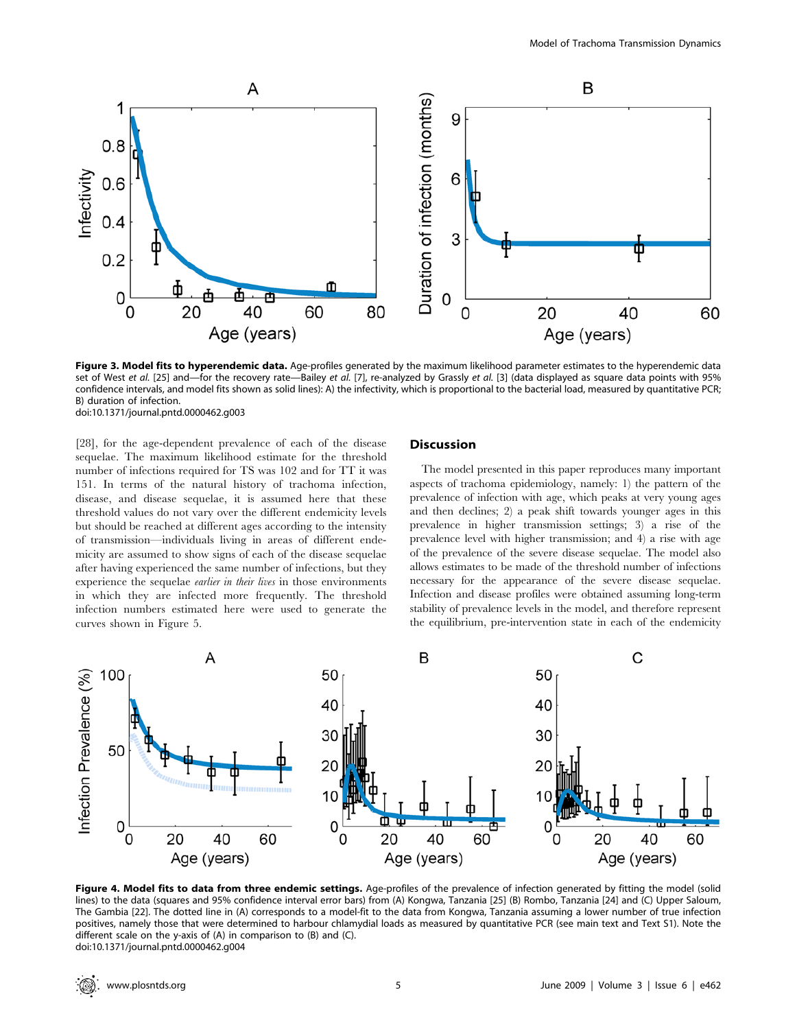

Figure 3. Model fits to hyperendemic data. Age-profiles generated by the maximum likelihood parameter estimates to the hyperendemic data set of West et al. [25] and—for the recovery rate—Bailey et al. [7], re-analyzed by Grassly et al. [3] (data displayed as square data points with 95% confidence intervals, and model fits shown as solid lines): A) the infectivity, which is proportional to the bacterial load, measured by quantitative PCR; B) duration of infection. doi:10.1371/journal.pntd.0000462.g003

[28], for the age-dependent prevalence of each of the disease sequelae. The maximum likelihood estimate for the threshold number of infections required for TS was 102 and for TT it was 151. In terms of the natural history of trachoma infection, disease, and disease sequelae, it is assumed here that these threshold values do not vary over the different endemicity levels but should be reached at different ages according to the intensity of transmission—individuals living in areas of different endemicity are assumed to show signs of each of the disease sequelae after having experienced the same number of infections, but they experience the sequelae earlier in their lives in those environments in which they are infected more frequently. The threshold infection numbers estimated here were used to generate the curves shown in Figure 5.

## **Discussion**

The model presented in this paper reproduces many important aspects of trachoma epidemiology, namely: 1) the pattern of the prevalence of infection with age, which peaks at very young ages and then declines; 2) a peak shift towards younger ages in this prevalence in higher transmission settings; 3) a rise of the prevalence level with higher transmission; and 4) a rise with age of the prevalence of the severe disease sequelae. The model also allows estimates to be made of the threshold number of infections necessary for the appearance of the severe disease sequelae. Infection and disease profiles were obtained assuming long-term stability of prevalence levels in the model, and therefore represent the equilibrium, pre-intervention state in each of the endemicity



Figure 4. Model fits to data from three endemic settings. Age-profiles of the prevalence of infection generated by fitting the model (solid lines) to the data (squares and 95% confidence interval error bars) from (A) Kongwa, Tanzania [25] (B) Rombo, Tanzania [24] and (C) Upper Saloum, The Gambia [22]. The dotted line in (A) corresponds to a model-fit to the data from Kongwa, Tanzania assuming a lower number of true infection positives, namely those that were determined to harbour chlamydial loads as measured by quantitative PCR (see main text and Text S1). Note the different scale on the y-axis of (A) in comparison to (B) and (C). doi:10.1371/journal.pntd.0000462.g004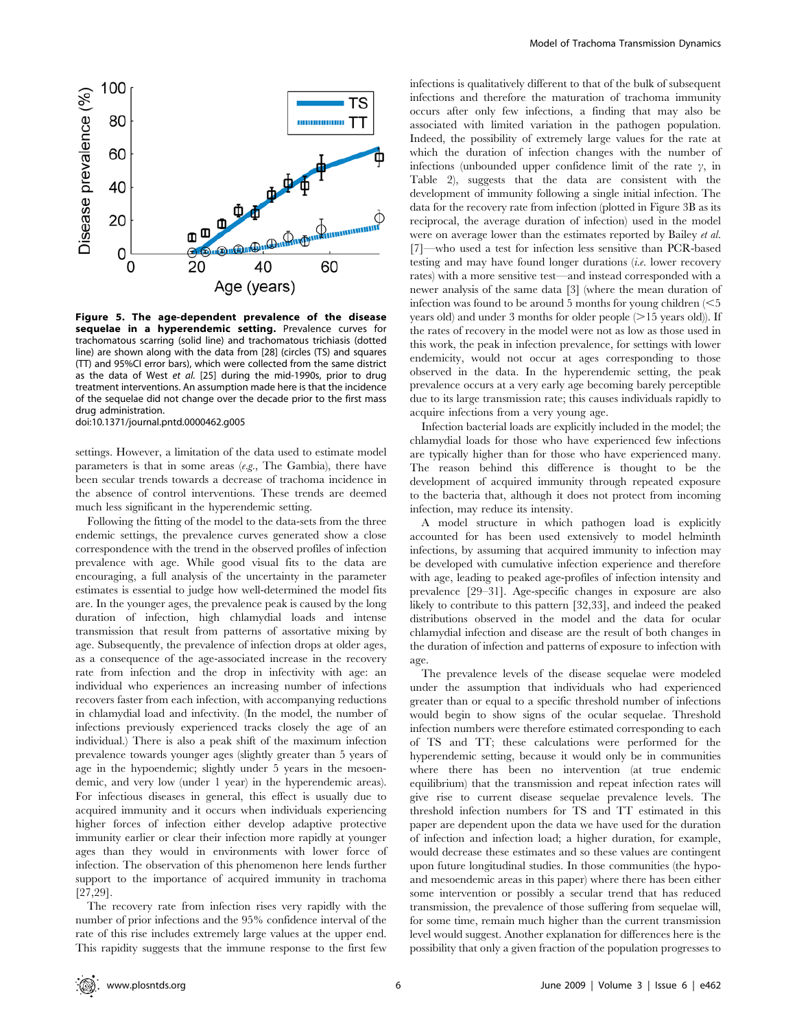

Figure 5. The age-dependent prevalence of the disease sequelae in a hyperendemic setting. Prevalence curves for trachomatous scarring (solid line) and trachomatous trichiasis (dotted line) are shown along with the data from [28] (circles (TS) and squares (TT) and 95%CI error bars), which were collected from the same district as the data of West et al. [25] during the mid-1990s, prior to drug treatment interventions. An assumption made here is that the incidence of the sequelae did not change over the decade prior to the first mass drug administration. doi:10.1371/journal.pntd.0000462.g005

settings. However, a limitation of the data used to estimate model parameters is that in some areas  $(e.g.,$  The Gambia), there have been secular trends towards a decrease of trachoma incidence in the absence of control interventions. These trends are deemed much less significant in the hyperendemic setting.

Following the fitting of the model to the data-sets from the three endemic settings, the prevalence curves generated show a close correspondence with the trend in the observed profiles of infection prevalence with age. While good visual fits to the data are encouraging, a full analysis of the uncertainty in the parameter estimates is essential to judge how well-determined the model fits are. In the younger ages, the prevalence peak is caused by the long duration of infection, high chlamydial loads and intense transmission that result from patterns of assortative mixing by age. Subsequently, the prevalence of infection drops at older ages, as a consequence of the age-associated increase in the recovery rate from infection and the drop in infectivity with age: an individual who experiences an increasing number of infections recovers faster from each infection, with accompanying reductions in chlamydial load and infectivity. (In the model, the number of infections previously experienced tracks closely the age of an individual.) There is also a peak shift of the maximum infection prevalence towards younger ages (slightly greater than 5 years of age in the hypoendemic; slightly under 5 years in the mesoendemic, and very low (under 1 year) in the hyperendemic areas). For infectious diseases in general, this effect is usually due to acquired immunity and it occurs when individuals experiencing higher forces of infection either develop adaptive protective immunity earlier or clear their infection more rapidly at younger ages than they would in environments with lower force of infection. The observation of this phenomenon here lends further support to the importance of acquired immunity in trachoma [27,29].

The recovery rate from infection rises very rapidly with the number of prior infections and the 95% confidence interval of the rate of this rise includes extremely large values at the upper end. This rapidity suggests that the immune response to the first few

infections is qualitatively different to that of the bulk of subsequent infections and therefore the maturation of trachoma immunity occurs after only few infections, a finding that may also be associated with limited variation in the pathogen population. Indeed, the possibility of extremely large values for the rate at which the duration of infection changes with the number of infections (unbounded upper confidence limit of the rate  $\gamma$ , in Table 2), suggests that the data are consistent with the development of immunity following a single initial infection. The data for the recovery rate from infection (plotted in Figure 3B as its reciprocal, the average duration of infection) used in the model were on average lower than the estimates reported by Bailey et al. [7]—who used a test for infection less sensitive than PCR-based testing and may have found longer durations (i.e. lower recovery rates) with a more sensitive test—and instead corresponded with a newer analysis of the same data [3] (where the mean duration of infection was found to be around 5 months for young children  $\leq 5$ years old) and under 3 months for older people  $(>15$  years old)). If the rates of recovery in the model were not as low as those used in this work, the peak in infection prevalence, for settings with lower endemicity, would not occur at ages corresponding to those observed in the data. In the hyperendemic setting, the peak prevalence occurs at a very early age becoming barely perceptible due to its large transmission rate; this causes individuals rapidly to acquire infections from a very young age.

Infection bacterial loads are explicitly included in the model; the chlamydial loads for those who have experienced few infections are typically higher than for those who have experienced many. The reason behind this difference is thought to be the development of acquired immunity through repeated exposure to the bacteria that, although it does not protect from incoming infection, may reduce its intensity.

A model structure in which pathogen load is explicitly accounted for has been used extensively to model helminth infections, by assuming that acquired immunity to infection may be developed with cumulative infection experience and therefore with age, leading to peaked age-profiles of infection intensity and prevalence [29–31]. Age-specific changes in exposure are also likely to contribute to this pattern [32,33], and indeed the peaked distributions observed in the model and the data for ocular chlamydial infection and disease are the result of both changes in the duration of infection and patterns of exposure to infection with age.

The prevalence levels of the disease sequelae were modeled under the assumption that individuals who had experienced greater than or equal to a specific threshold number of infections would begin to show signs of the ocular sequelae. Threshold infection numbers were therefore estimated corresponding to each of TS and TT; these calculations were performed for the hyperendemic setting, because it would only be in communities where there has been no intervention (at true endemic equilibrium) that the transmission and repeat infection rates will give rise to current disease sequelae prevalence levels. The threshold infection numbers for TS and TT estimated in this paper are dependent upon the data we have used for the duration of infection and infection load; a higher duration, for example, would decrease these estimates and so these values are contingent upon future longitudinal studies. In those communities (the hypoand mesoendemic areas in this paper) where there has been either some intervention or possibly a secular trend that has reduced transmission, the prevalence of those suffering from sequelae will, for some time, remain much higher than the current transmission level would suggest. Another explanation for differences here is the possibility that only a given fraction of the population progresses to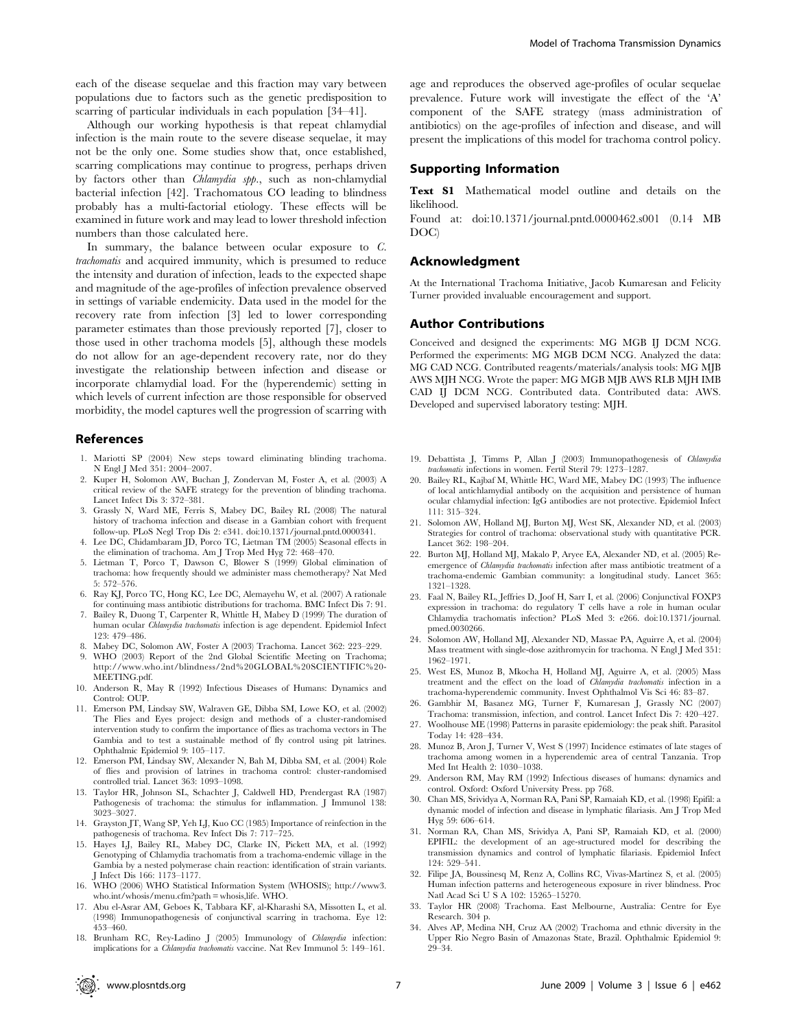each of the disease sequelae and this fraction may vary between populations due to factors such as the genetic predisposition to scarring of particular individuals in each population [34–41].

Although our working hypothesis is that repeat chlamydial infection is the main route to the severe disease sequelae, it may not be the only one. Some studies show that, once established, scarring complications may continue to progress, perhaps driven by factors other than *Chlamydia spp.*, such as non-chlamydial bacterial infection [42]. Trachomatous CO leading to blindness probably has a multi-factorial etiology. These effects will be examined in future work and may lead to lower threshold infection numbers than those calculated here.

In summary, the balance between ocular exposure to C. trachomatis and acquired immunity, which is presumed to reduce the intensity and duration of infection, leads to the expected shape and magnitude of the age-profiles of infection prevalence observed in settings of variable endemicity. Data used in the model for the recovery rate from infection [3] led to lower corresponding parameter estimates than those previously reported [7], closer to those used in other trachoma models [5], although these models do not allow for an age-dependent recovery rate, nor do they investigate the relationship between infection and disease or incorporate chlamydial load. For the (hyperendemic) setting in which levels of current infection are those responsible for observed morbidity, the model captures well the progression of scarring with

#### References

- 1. Mariotti SP (2004) New steps toward eliminating blinding trachoma. N Engl J Med 351: 2004–2007.
- 2. Kuper H, Solomon AW, Buchan J, Zondervan M, Foster A, et al. (2003) A critical review of the SAFE strategy for the prevention of blinding trachoma. Lancet Infect Dis 3: 372–381.
- 3. Grassly N, Ward ME, Ferris S, Mabey DC, Bailey RL (2008) The natural history of trachoma infection and disease in a Gambian cohort with frequent follow-up. PLoS Negl Trop Dis 2: e341. doi:10.1371/journal.pntd.0000341.
- 4. Lee DC, Chidambaram JD, Porco TC, Lietman TM (2005) Seasonal effects in the elimination of trachoma. Am J Trop Med Hyg 72: 468–470.
- 5. Lietman T, Porco T, Dawson C, Blower S (1999) Global elimination of trachoma: how frequently should we administer mass chemotherapy? Nat Med 5: 572–576.
- 6. Ray KJ, Porco TC, Hong KC, Lee DC, Alemayehu W, et al. (2007) A rationale for continuing mass antibiotic distributions for trachoma. BMC Infect Dis 7: 91.
- 7. Bailey R, Duong T, Carpenter R, Whittle H, Mabey D (1999) The duration of human ocular Chlamydia trachomatis infection is age dependent. Epidemiol Infect 123: 479–486.
- 8. Mabey DC, Solomon AW, Foster A (2003) Trachoma. Lancet 362: 223–229.
- 9. WHO (2003) Report of the 2nd Global Scientific Meeting on Trachoma; http://www.who.int/blindness/2nd%20GLOBAL%20SCIENTIFIC%20- MEETING.pdf.
- 10. Anderson R, May R (1992) Infectious Diseases of Humans: Dynamics and Control: OUP.
- 11. Emerson PM, Lindsay SW, Walraven GE, Dibba SM, Lowe KO, et al. (2002) The Flies and Eyes project: design and methods of a cluster-randomised intervention study to confirm the importance of flies as trachoma vectors in The Gambia and to test a sustainable method of fly control using pit latrines. Ophthalmic Epidemiol 9: 105–117.
- 12. Emerson PM, Lindsay SW, Alexander N, Bah M, Dibba SM, et al. (2004) Role of flies and provision of latrines in trachoma control: cluster-randomised controlled trial. Lancet 363: 1093–1098.
- 13. Taylor HR, Johnson SL, Schachter J, Caldwell HD, Prendergast RA (1987) Pathogenesis of trachoma: the stimulus for inflammation. J Immunol 138: 3023–3027.
- 14. Grayston JT, Wang SP, Yeh LJ, Kuo CC (1985) Importance of reinfection in the pathogenesis of trachoma. Rev Infect Dis 7: 717–725.
- 15. Hayes LJ, Bailey RL, Mabey DC, Clarke IN, Pickett MA, et al. (1992) Genotyping of Chlamydia trachomatis from a trachoma-endemic village in the Gambia by a nested polymerase chain reaction: identification of strain variants. J Infect Dis 166: 1173–1177.
- 16. WHO (2006) WHO Statistical Information System (WHOSIS); http://www3. who.int/whosis/menu.cfm?path = whosis,life. WHO.
- 17. Abu el-Asrar AM, Geboes K, Tabbara KF, al-Kharashi SA, Missotten L, et al. (1998) Immunopathogenesis of conjunctival scarring in trachoma. Eye 12: 453–460.
- 18. Brunham RC, Rey-Ladino J (2005) Immunology of Chlamydia infection: implications for a Chlamydia trachomatis vaccine. Nat Rev Immunol 5: 149–161.

age and reproduces the observed age-profiles of ocular sequelae prevalence. Future work will investigate the effect of the 'A' component of the SAFE strategy (mass administration of antibiotics) on the age-profiles of infection and disease, and will present the implications of this model for trachoma control policy.

# Supporting Information

Text S1 Mathematical model outline and details on the likelihood.

Found at: doi:10.1371/journal.pntd.0000462.s001 (0.14 MB DOC)

## Acknowledgment

At the International Trachoma Initiative, Jacob Kumaresan and Felicity Turner provided invaluable encouragement and support.

#### Author Contributions

Conceived and designed the experiments: MG MGB IJ DCM NCG. Performed the experiments: MG MGB DCM NCG. Analyzed the data: MG CAD NCG. Contributed reagents/materials/analysis tools: MG MJB AWS MJH NCG. Wrote the paper: MG MGB MJB AWS RLB MJH IMB CAD IJ DCM NCG. Contributed data. Contributed data: AWS. Developed and supervised laboratory testing: MJH.

- 19. Debattista J, Timms P, Allan J (2003) Immunopathogenesis of Chlamydia trachomatis infections in women. Fertil Steril 79: 1273–1287.
- 20. Bailey RL, Kajbaf M, Whittle HC, Ward ME, Mabey DC (1993) The influence of local antichlamydial antibody on the acquisition and persistence of human ocular chlamydial infection: IgG antibodies are not protective. Epidemiol Infect 111: 315–324.
- 21. Solomon AW, Holland MJ, Burton MJ, West SK, Alexander ND, et al. (2003) Strategies for control of trachoma: observational study with quantitative PCR. Lancet 362: 198–204.
- 22. Burton MJ, Holland MJ, Makalo P, Aryee EA, Alexander ND, et al. (2005) Reemergence of *Chlamydia trachomatis* infection after mass antibiotic treatment of a trachoma-endemic Gambian community: a longitudinal study. Lancet 365: 1321–1328.
- 23. Faal N, Bailey RL, Jeffries D, Joof H, Sarr I, et al. (2006) Conjunctival FOXP3 expression in trachoma: do regulatory T cells have a role in human ocular Chlamydia trachomatis infection? PLoS Med 3: e266. doi:10.1371/journal. pmed.0030266.
- 24. Solomon AW, Holland MJ, Alexander ND, Massae PA, Aguirre A, et al. (2004) Mass treatment with single-dose azithromycin for trachoma. N Engl J Med 351: 1962–1971.
- 25. West ES, Munoz B, Mkocha H, Holland MJ, Aguirre A, et al. (2005) Mass treatment and the effect on the load of Chlamydia trachomatis infection in a trachoma-hyperendemic community. Invest Ophthalmol Vis Sci 46: 83–87.
- 26. Gambhir M, Basanez MG, Turner F, Kumaresan J, Grassly NC (2007) Trachoma: transmission, infection, and control. Lancet Infect Dis 7: 420–427.
- 27. Woolhouse ME (1998) Patterns in parasite epidemiology: the peak shift. Parasitol Today 14: 428–434.
- 28. Munoz B, Aron J, Turner V, West S (1997) Incidence estimates of late stages of trachoma among women in a hyperendemic area of central Tanzania. Trop Med Int Health 2: 1030–1038.
- 29. Anderson RM, May RM (1992) Infectious diseases of humans: dynamics and control. Oxford: Oxford University Press. pp 768.
- 30. Chan MS, Srividya A, Norman RA, Pani SP, Ramaiah KD, et al. (1998) Epifil: a dynamic model of infection and disease in lymphatic filariasis. Am J Trop Med Hyg 59: 606–614.
- 31. Norman RA, Chan MS, Srividya A, Pani SP, Ramaiah KD, et al. (2000) EPIFIL: the development of an age-structured model for describing the transmission dynamics and control of lymphatic filariasis. Epidemiol Infect 124: 529–541.
- 32. Filipe JA, Boussinesq M, Renz A, Collins RC, Vivas-Martinez S, et al. (2005) Human infection patterns and heterogeneous exposure in river blindness. Proc Natl Acad Sci U S A 102: 15265–15270.
- 33. Taylor HR (2008) Trachoma. East Melbourne, Australia: Centre for Eye Research. 304 p.
- 34. Alves AP, Medina NH, Cruz AA (2002) Trachoma and ethnic diversity in the Upper Rio Negro Basin of Amazonas State, Brazil. Ophthalmic Epidemiol 9: 29–34.